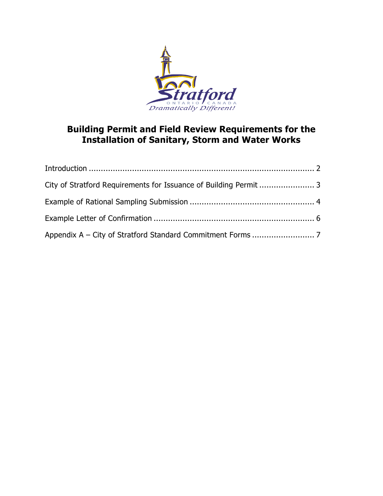

# **Building Permit and Field Review Requirements for the Installation of Sanitary, Storm and Water Works**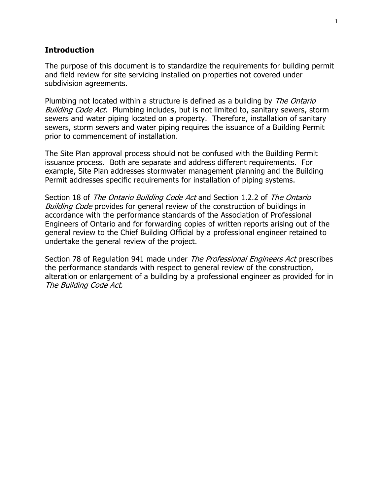## **Introduction**

The purpose of this document is to standardize the requirements for building permit and field review for site servicing installed on properties not covered under subdivision agreements.

Plumbing not located within a structure is defined as a building by *The Ontario* Building Code Act. Plumbing includes, but is not limited to, sanitary sewers, storm sewers and water piping located on a property. Therefore, installation of sanitary sewers, storm sewers and water piping requires the issuance of a Building Permit prior to commencement of installation.

The Site Plan approval process should not be confused with the Building Permit issuance process. Both are separate and address different requirements. For example, Site Plan addresses stormwater management planning and the Building Permit addresses specific requirements for installation of piping systems.

Section 18 of The Ontario Building Code Act and Section 1.2.2 of The Ontario Building Code provides for general review of the construction of buildings in accordance with the performance standards of the Association of Professional Engineers of Ontario and for forwarding copies of written reports arising out of the general review to the Chief Building Official by a professional engineer retained to undertake the general review of the project.

Section 78 of Regulation 941 made under *The Professional Engineers Act* prescribes the performance standards with respect to general review of the construction, alteration or enlargement of a building by a professional engineer as provided for in The Building Code Act.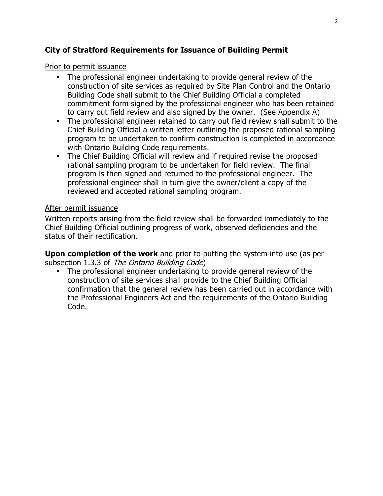## **City of Stratford Requirements for Issuance of Building Permit**

## Prior to permit issuance

- The professional engineer undertaking to provide general review of the construction of site services as required by Site Plan Control and the Ontario Building Code shall submit to the Chief Building Official a completed commitment form signed by the professional engineer who has been retained to carry out field review and also signed by the owner. (See Appendix A)
- The professional engineer retained to carry out field review shall submit to the Chief Building Official a written letter outlining the proposed rational sampling program to be undertaken to confirm construction is completed in accordance with Ontario Building Code requirements.
- The Chief Building Official will review and if required revise the proposed rational sampling program to be undertaken for field review. The final program is then signed and returned to the professional engineer. The professional engineer shall in turn give the owner/client a copy of the reviewed and accepted rational sampling program.

## After permit issuance

Written reports arising from the field review shall be forwarded immediately to the Chief Building Official outlining progress of work, observed deficiencies and the status of their rectification.

**Upon completion of the work** and prior to putting the system into use (as per subsection 1.3.3 of The Ontario Building Code)

 The professional engineer undertaking to provide general review of the construction of site services shall provide to the Chief Building Official confirmation that the general review has been carried out in accordance with the Professional Engineers Act and the requirements of the Ontario Building Code.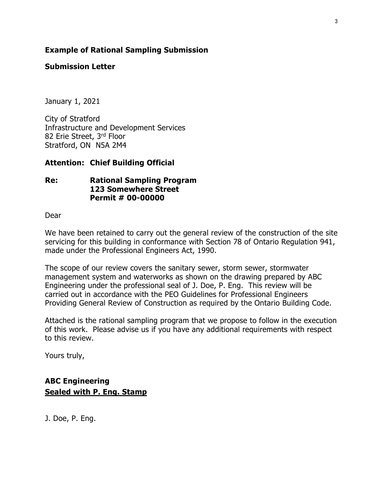## **Example of Rational Sampling Submission**

## **Submission Letter**

January 1, 2021

City of Stratford Infrastructure and Development Services 82 Erie Street, 3rd Floor Stratford, ON N5A 2M4

## **Attention: Chief Building Official**

## **Re: Rational Sampling Program 123 Somewhere Street Permit # 00-00000**

Dear

We have been retained to carry out the general review of the construction of the site servicing for this building in conformance with Section 78 of Ontario Regulation 941, made under the Professional Engineers Act, 1990.

The scope of our review covers the sanitary sewer, storm sewer, stormwater management system and waterworks as shown on the drawing prepared by ABC Engineering under the professional seal of J. Doe, P. Eng. This review will be carried out in accordance with the PEO Guidelines for Professional Engineers Providing General Review of Construction as required by the Ontario Building Code.

Attached is the rational sampling program that we propose to follow in the execution of this work. Please advise us if you have any additional requirements with respect to this review.

Yours truly,

## **ABC Engineering Sealed with P. Eng. Stamp**

J. Doe, P. Eng.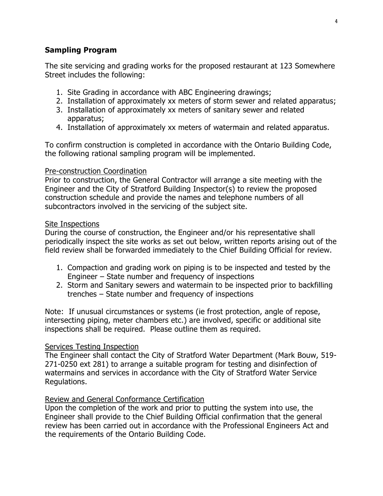## **Sampling Program**

The site servicing and grading works for the proposed restaurant at 123 Somewhere Street includes the following:

- 1. Site Grading in accordance with ABC Engineering drawings;
- 2. Installation of approximately xx meters of storm sewer and related apparatus;
- 3. Installation of approximately xx meters of sanitary sewer and related apparatus;
- 4. Installation of approximately xx meters of watermain and related apparatus.

To confirm construction is completed in accordance with the Ontario Building Code, the following rational sampling program will be implemented.

## Pre-construction Coordination

Prior to construction, the General Contractor will arrange a site meeting with the Engineer and the City of Stratford Building Inspector(s) to review the proposed construction schedule and provide the names and telephone numbers of all subcontractors involved in the servicing of the subject site.

## Site Inspections

During the course of construction, the Engineer and/or his representative shall periodically inspect the site works as set out below, written reports arising out of the field review shall be forwarded immediately to the Chief Building Official for review.

- 1. Compaction and grading work on piping is to be inspected and tested by the Engineer – State number and frequency of inspections
- 2. Storm and Sanitary sewers and watermain to be inspected prior to backfilling trenches – State number and frequency of inspections

Note: If unusual circumstances or systems (ie frost protection, angle of repose, intersecting piping, meter chambers etc.) are involved, specific or additional site inspections shall be required. Please outline them as required.

## **Services Testing Inspection**

The Engineer shall contact the City of Stratford Water Department (Mark Bouw, 519- 271-0250 ext 281) to arrange a suitable program for testing and disinfection of watermains and services in accordance with the City of Stratford Water Service Regulations.

## Review and General Conformance Certification

Upon the completion of the work and prior to putting the system into use, the Engineer shall provide to the Chief Building Official confirmation that the general review has been carried out in accordance with the Professional Engineers Act and the requirements of the Ontario Building Code.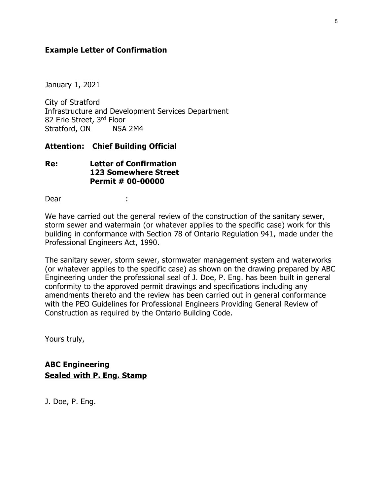## **Example Letter of Confirmation**

January 1, 2021

City of Stratford Infrastructure and Development Services Department 82 Erie Street, 3rd Floor Stratford, ON N5A 2M4

## **Attention: Chief Building Official**

## **Re: Letter of Confirmation 123 Somewhere Street Permit # 00-00000**

Dear :

We have carried out the general review of the construction of the sanitary sewer, storm sewer and watermain (or whatever applies to the specific case) work for this building in conformance with Section 78 of Ontario Regulation 941, made under the Professional Engineers Act, 1990.

The sanitary sewer, storm sewer, stormwater management system and waterworks (or whatever applies to the specific case) as shown on the drawing prepared by ABC Engineering under the professional seal of J. Doe, P. Eng. has been built in general conformity to the approved permit drawings and specifications including any amendments thereto and the review has been carried out in general conformance with the PEO Guidelines for Professional Engineers Providing General Review of Construction as required by the Ontario Building Code.

Yours truly,

**ABC Engineering Sealed with P. Eng. Stamp**

J. Doe, P. Eng.